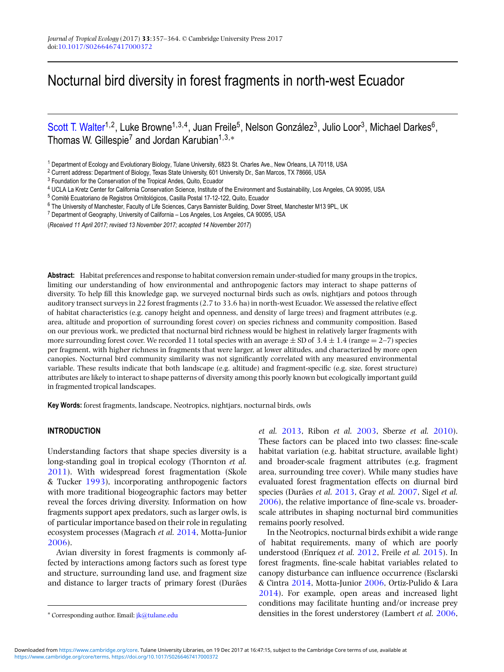# Nocturnal bird diversity in forest fragments in north-west Ecuador

[Scott T. Walter](http://orcid.org/0000-0002-0096-8519)<sup>1,2</sup>, Luke Browne<sup>1,3,4</sup>, Juan Freile<sup>5</sup>, Nelson González<sup>3</sup>, Julio Loor<sup>3</sup>, Michael Darkes<sup>6</sup>, Thomas W. Gillespie<sup>7</sup> and Jordan Karubian<sup>1,3,\*</sup>

<sup>1</sup> Department of Ecology and Evolutionary Biology, Tulane University, 6823 St. Charles Ave., New Orleans, LA 70118, USA

<sup>2</sup> Current address: Department of Biology, Texas State University, 601 University Dr., San Marcos, TX 78666, USA

<sup>3</sup> Foundation for the Conservation of the Tropical Andes, Quito, Ecuador

<sup>4</sup> UCLA La Kretz Center for California Conservation Science, Institute of the Environment and Sustainability, Los Angeles, CA 90095, USA

(*Received 11 April 2017; revised 13 November 2017; accepted 14 November 2017*)

**Abstract:** Habitat preferences and response to habitat conversion remain under-studied for many groups in the tropics, limiting our understanding of how environmental and anthropogenic factors may interact to shape patterns of diversity. To help fill this knowledge gap, we surveyed nocturnal birds such as owls, nightjars and potoos through auditory transect surveys in 22 forest fragments (2.7 to 33.6 ha) in north-west Ecuador. We assessed the relative effect of habitat characteristics (e.g. canopy height and openness, and density of large trees) and fragment attributes (e.g. area, altitude and proportion of surrounding forest cover) on species richness and community composition. Based on our previous work, we predicted that nocturnal bird richness would be highest in relatively larger fragments with more surrounding forest cover. We recorded 11 total species with an average  $\pm$  SD of 3.4  $\pm$  1.4 (range  $=$  2–7) species per fragment, with higher richness in fragments that were larger, at lower altitudes, and characterized by more open canopies. Nocturnal bird community similarity was not significantly correlated with any measured environmental variable. These results indicate that both landscape (e.g. altitude) and fragment-specific (e.g. size, forest structure) attributes are likely to interact to shape patterns of diversity among this poorly known but ecologically important guild in fragmented tropical landscapes.

**Key Words:** forest fragments, landscape, Neotropics, nightjars, nocturnal birds, owls

# **INTRODUCTION**

Understanding factors that shape species diversity is a long-standing goal in tropical ecology (Thornton *et al.* [2011\)](#page-7-0). With widespread forest fragmentation (Skole & Tucker [1993\)](#page-7-0), incorporating anthropogenic factors with more traditional biogeographic factors may better reveal the forces driving diversity. Information on how fragments support apex predators, such as larger owls, is of particular importance based on their role in regulating ecosystem processes (Magrach *et al.* [2014,](#page-6-0) Motta-Junior [2006\)](#page-7-0).

Avian diversity in forest fragments is commonly affected by interactions among factors such as forest type and structure, surrounding land use, and fragment size and distance to larger tracts of primary forest (Durães *et al.* [2013,](#page-6-0) Ribon *et al.* [2003,](#page-7-0) Sberze *et al.* [2010\)](#page-7-0). These factors can be placed into two classes: fine-scale habitat variation (e.g. habitat structure, available light) and broader-scale fragment attributes (e.g. fragment area, surrounding tree cover). While many studies have evaluated forest fragmentation effects on diurnal bird species (Durães *et al.* [2013,](#page-6-0) Gray *et al.* [2007,](#page-6-0) Sigel *et al.* [2006\)](#page-7-0), the relative importance of fine-scale vs. broaderscale attributes in shaping nocturnal bird communities remains poorly resolved.

In the Neotropics, nocturnal birds exhibit a wide range of habitat requirements, many of which are poorly understood (Enríquez *et al.* [2012,](#page-6-0) Freile *et al.* [2015\)](#page-6-0). In forest fragments, fine-scale habitat variables related to canopy disturbance can influence occurrence (Esclarski & Cintra [2014,](#page-6-0) Motta-Junior [2006,](#page-7-0) Ortiz-Pulido & Lara [2014\)](#page-7-0). For example, open areas and increased light conditions may facilitate hunting and/or increase prey densities in the forest understorey (Lambert *et al.* [2006,](#page-6-0)

<sup>5</sup> Comité Ecuatoriano de Registros Ornitológicos, Casilla Postal 17-12-122, Quito, Ecuador

<sup>6</sup> The University of Manchester, Faculty of Life Sciences, Carys Bannister Building, Dover Street, Manchester M13 9PL, UK

<sup>7</sup> Department of Geography, University of California – Los Angeles, Los Angeles, CA 90095, USA

<sup>∗</sup> Corresponding author. Email: [jk@tulane.edu](mailto:jk@tulane.edu)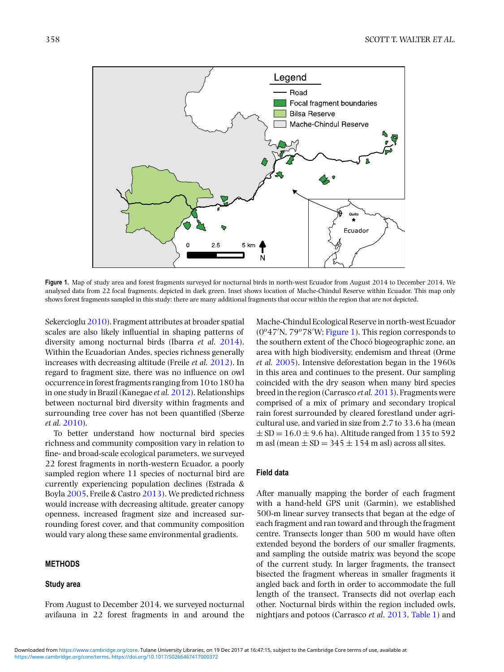

**Figure 1.** Map of study area and forest fragments surveyed for nocturnal birds in north-west Ecuador from August 2014 to December 2014. We analysed data from 22 focal fragments, depicted in dark green. Inset shows location of Mache-Chindul Reserve within Ecuador. This map only shows forest fragments sampled in this study; there are many additional fragments that occur within the region that are not depicted.

Sekercioglu [2010\)](#page-7-0). Fragment attributes at broader spatial scales are also likely influential in shaping patterns of diversity among nocturnal birds (Ibarra *et al*. [2014\)](#page-6-0). Within the Ecuadorian Andes, species richness generally increases with decreasing altitude (Freile *et al.* [2012\)](#page-6-0). In regard to fragment size, there was no influence on owl occurrence in forest fragments ranging from 10 to 180 ha in one study in Brazil (Kanegae *et al.* [2012\)](#page-6-0). Relationships between nocturnal bird diversity within fragments and surrounding tree cover has not been quantified (Sberze *et al.* [2010\)](#page-7-0).

To better understand how nocturnal bird species richness and community composition vary in relation to fine- and broad-scale ecological parameters, we surveyed 22 forest fragments in north-western Ecuador, a poorly sampled region where 11 species of nocturnal bird are currently experiencing population declines (Estrada & Boyla [2005,](#page-6-0) Freile & Castro [2013\)](#page-6-0). We predicted richness would increase with decreasing altitude, greater canopy openness, increased fragment size and increased surrounding forest cover, and that community composition would vary along these same environmental gradients.

# **METHODS**

## **Study area**

From August to December 2014, we surveyed nocturnal avifauna in 22 forest fragments in and around the Mache-Chindul Ecological Reserve in north-west Ecuador (0°47'N, 79°78'W; Figure 1). This region corresponds to the southern extent of the Chocó biogeographic zone, an area with high biodiversity, endemism and threat (Orme *et al.* [2005\)](#page-7-0). Intensive deforestation began in the 1960s in this area and continues to the present. Our sampling coincided with the dry season when many bird species breed in the region (Carrasco *et al.*[2013\)](#page-6-0). Fragments were comprised of a mix of primary and secondary tropical rain forest surrounded by cleared forestland under agricultural use, and varied in size from 2.7 to 33.6 ha (mean  $\pm$  SD = 16.0  $\pm$  9.6 ha). Altitude ranged from 135 to 592 m asl (mean  $\pm$  SD = 345  $\pm$  154 m asl) across all sites.

# **Field data**

After manually mapping the border of each fragment with a hand-held GPS unit (Garmin), we established 500-m linear survey transects that began at the edge of each fragment and ran toward and through the fragment centre. Transects longer than 500 m would have often extended beyond the borders of our smaller fragments, and sampling the outside matrix was beyond the scope of the current study. In larger fragments, the transect bisected the fragment whereas in smaller fragments it angled back and forth in order to accommodate the full length of the transect. Transects did not overlap each other. Nocturnal birds within the region included owls, nightjars and potoos (Carrasco *et al*. [2013,](#page-6-0) [Table 1\)](#page-2-0) and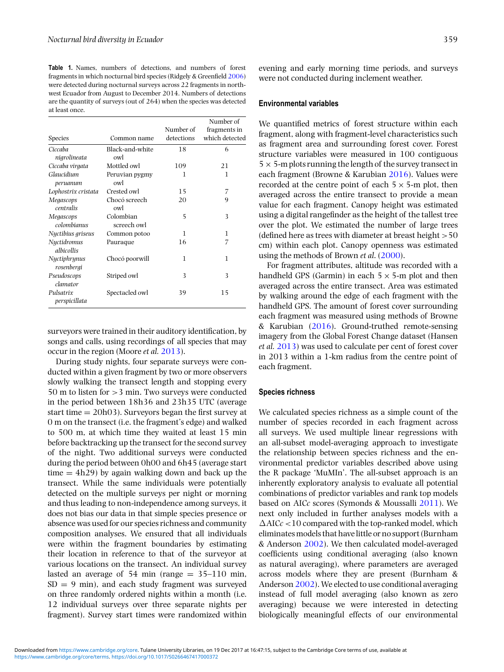<span id="page-2-0"></span>**Table 1.** Names, numbers of detections, and numbers of forest fragments in which nocturnal bird species (Ridgely & Greenfield [2006\)](#page-7-0) were detected during nocturnal surveys across 22 fragments in northwest Ecuador from August to December 2014. Numbers of detections are the quantity of surveys (out of 264) when the species was detected at least once.

|                            |                          |            | Number of      |
|----------------------------|--------------------------|------------|----------------|
|                            |                          | Number of  | fragments in   |
| Species                    | Common name              | detections | which detected |
| Ciccaba<br>nigrolineata    | Black-and-white<br>owl   | 18         | 6              |
| Ciccaba virgata            | Mottled owl              | 109        | 21             |
| Glaucidium<br>peruanum     | Peruvian pygmy<br>owl    | 1          | 1              |
| Lophostrix cristata        | Crested owl              | 15         | 7              |
| Megascops<br>centralis     | Chocó screech<br>owl     | 20         | 9              |
| Megascops<br>colombianus   | Colombian<br>screech owl | 5          | 3              |
| Nyctibius griseus          | Common potoo             | 1          | 1              |
| Nuctidromus<br>albicollis  | Pauraque                 | 16         | 7              |
| Nyctiphrynus<br>rosenbergi | Chocó poorwill           | 1          | 1              |
| Pseudoscops<br>clamator    | Striped owl              | 3          | 3              |
| Pulsatrix<br>perspicillata | Spectacled owl           | 39         | 15             |

surveyors were trained in their auditory identification, by songs and calls, using recordings of all species that may occur in the region (Moore *et al.* [2013\)](#page-7-0).

During study nights, four separate surveys were conducted within a given fragment by two or more observers slowly walking the transect length and stopping every 50 m to listen for >3 min. Two surveys were conducted in the period between 18h36 and 23h35 UTC (average start time  $= 20h03$ ). Surveyors began the first survey at 0 m on the transect (i.e. the fragment's edge) and walked to 500 m, at which time they waited at least 15 min before backtracking up the transect for the second survey of the night. Two additional surveys were conducted during the period between 0h00 and 6h45 (average start time  $= 4h29$ ) by again walking down and back up the transect. While the same individuals were potentially detected on the multiple surveys per night or morning and thus leading to non-independence among surveys, it does not bias our data in that simple species presence or absence was used for our species richness and community composition analyses. We ensured that all individuals were within the fragment boundaries by estimating their location in reference to that of the surveyor at various locations on the transect. An individual survey lasted an average of 54 min (range  $= 35-110$  min,  $SD = 9$  min), and each study fragment was surveyed on three randomly ordered nights within a month (i.e. 12 individual surveys over three separate nights per fragment). Survey start times were randomized within evening and early morning time periods, and surveys were not conducted during inclement weather.

## **Environmental variables**

We quantified metrics of forest structure within each fragment, along with fragment-level characteristics such as fragment area and surrounding forest cover. Forest structure variables were measured in 100 contiguous  $5 \times 5$ -m plots running the length of the survey transect in each fragment (Browne & Karubian [2016\)](#page-6-0). Values were recorded at the centre point of each  $5 \times 5$ -m plot, then averaged across the entire transect to provide a mean value for each fragment. Canopy height was estimated using a digital rangefinder as the height of the tallest tree over the plot. We estimated the number of large trees (defined here as trees with diameter at breast height  $>50$ cm) within each plot. Canopy openness was estimated using the methods of Brown *et al*. [\(2000\)](#page-6-0).

For fragment attributes, altitude was recorded with a handheld GPS (Garmin) in each  $5 \times 5$ -m plot and then averaged across the entire transect. Area was estimated by walking around the edge of each fragment with the handheld GPS. The amount of forest cover surrounding each fragment was measured using methods of Browne & Karubian [\(2016\)](#page-6-0). Ground-truthed remote-sensing imagery from the Global Forest Change dataset (Hansen *et al.* [2013\)](#page-6-0) was used to calculate per cent of forest cover in 2013 within a 1-km radius from the centre point of each fragment.

## **Species richness**

We calculated species richness as a simple count of the number of species recorded in each fragment across all surveys. We used multiple linear regressions with an all-subset model-averaging approach to investigate the relationship between species richness and the environmental predictor variables described above using the R package 'MuMIn'. The all-subset approach is an inherently exploratory analysis to evaluate all potential combinations of predictor variables and rank top models based on AIC*c* scores (Symonds & Moussalli [2011\)](#page-7-0). We next only included in further analyses models with a  $\Delta AICc < 10$  compared with the top-ranked model, which eliminates models that have little or no support (Burnham & Anderson [2002\)](#page-6-0). We then calculated model-averaged coefficients using conditional averaging (also known as natural averaging), where parameters are averaged across models where they are present (Burnham & Anderson [2002\)](#page-6-0). We elected to use conditional averaging instead of full model averaging (also known as zero averaging) because we were interested in detecting biologically meaningful effects of our environmental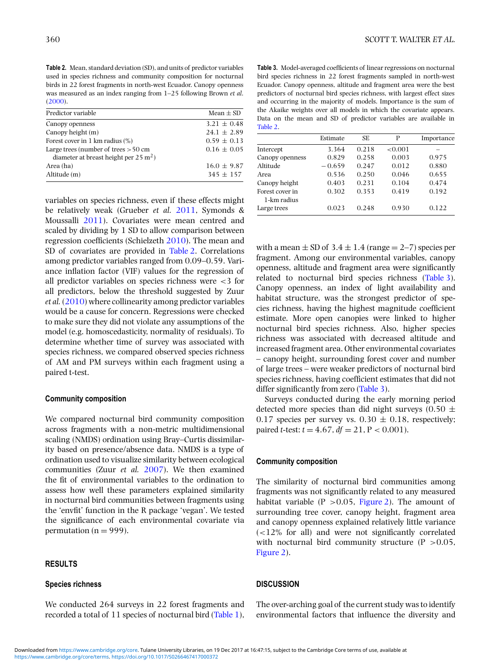**Table 2.** Mean, standard deviation (SD), and units of predictor variables used in species richness and community composition for nocturnal birds in 22 forest fragments in north-west Ecuador. Canopy openness was measured as an index ranging from 1–25 following Brown *et al*. [\(2000\)](#page-6-0).

| Predictor variable                               | Mean $\pm$ SD   |
|--------------------------------------------------|-----------------|
| Canopy openness                                  | $3.21 \pm 0.48$ |
| Canopy height $(m)$                              | $24.1 \pm 2.89$ |
| Forest cover in 1 km radius $(\%)$               | $0.59 \pm 0.13$ |
| Large trees (number of trees $> 50$ cm           | $0.16 \pm 0.05$ |
| diameter at breast height per $25 \text{ m}^2$ ) |                 |
| Area (ha)                                        | $16.0 \pm 9.87$ |
| Altitude (m)                                     | $345 \pm 157$   |

variables on species richness, even if these effects might be relatively weak (Grueber *et al.* [2011,](#page-6-0) Symonds & Moussalli [2011\)](#page-7-0). Covariates were mean centred and scaled by dividing by 1 SD to allow comparison between regression coefficients (Schielzeth [2010\)](#page-7-0). The mean and SD of covariates are provided in Table 2. Correlations among predictor variables ranged from 0.09–0.59. Variance inflation factor (VIF) values for the regression of all predictor variables on species richness were <3 for all predictors, below the threshold suggested by Zuur *et al.* [\(2010\)](#page-7-0) where collinearity among predictor variables would be a cause for concern. Regressions were checked to make sure they did not violate any assumptions of the model (e.g. homoscedasticity, normality of residuals). To determine whether time of survey was associated with species richness, we compared observed species richness of AM and PM surveys within each fragment using a paired t-test.

## **Community composition**

We compared nocturnal bird community composition across fragments with a non-metric multidimensional scaling (NMDS) ordination using Bray–Curtis dissimilarity based on presence/absence data. NMDS is a type of ordination used to visualize similarity between ecological communities (Zuur *et al.* [2007\)](#page-7-0). We then examined the fit of environmental variables to the ordination to assess how well these parameters explained similarity in nocturnal bird communities between fragments using the 'envfit' function in the R package 'vegan'. We tested the significance of each environmental covariate via permutation ( $n = 999$ ).

# **RESULTS**

#### **Species richness**

We conducted 264 surveys in 22 forest fragments and recorded a total of 11 species of nocturnal bird [\(Table 1\)](#page-2-0),

**Table 3.** Model-averaged coefficients of linear regressions on nocturnal bird species richness in 22 forest fragments sampled in north-west Ecuador. Canopy openness, altitude and fragment area were the best predictors of nocturnal bird species richness, with largest effect sizes and occurring in the majority of models. Importance is the sum of the Akaike weights over all models in which the covariate appears. Data on the mean and SD of predictor variables are available in Table 2.

|                 | Estimate | SE.   | P       | Importance |
|-----------------|----------|-------|---------|------------|
| Intercept       | 3.364    | 0.218 | < 0.001 |            |
| Canopy openness | 0.829    | 0.258 | 0.003   | 0.975      |
| Altitude        | $-0.659$ | 0.247 | 0.012   | 0.880      |
| Area            | 0.536    | 0.250 | 0.046   | 0.655      |
| Canopy height   | 0.403    | 0.231 | 0.104   | 0.474      |
| Forest cover in | 0.302    | 0.353 | 0.419   | 0.192      |
| 1-km radius     |          |       |         |            |
| Large trees     | 0.023    | 0.248 | 0.930   | 0.122      |

with a mean  $\pm$  SD of 3.4  $\pm$  1.4 (range  $=$  2–7) species per fragment. Among our environmental variables, canopy openness, altitude and fragment area were significantly related to nocturnal bird species richness (Table 3). Canopy openness, an index of light availability and habitat structure, was the strongest predictor of species richness, having the highest magnitude coefficient estimate. More open canopies were linked to higher nocturnal bird species richness. Also, higher species richness was associated with decreased altitude and increased fragment area. Other environmental covariates – canopy height, surrounding forest cover and number of large trees – were weaker predictors of nocturnal bird species richness, having coefficient estimates that did not differ significantly from zero (Table 3).

Surveys conducted during the early morning period detected more species than did night surveys (0.50  $\pm$ 0.17 species per survey vs.  $0.30 \pm 0.18$ , respectively; paired *t*-test:  $t = 4.67$ ,  $df = 21$ ,  $P < 0.001$ ).

## **Community composition**

The similarity of nocturnal bird communities among fragments was not significantly related to any measured habitat variable (P  $> 0.05$ , [Figure 2\)](#page-4-0). The amount of surrounding tree cover, canopy height, fragment area and canopy openness explained relatively little variance (<12% for all) and were not significantly correlated with nocturnal bird community structure  $(P > 0.05$ , [Figure 2\)](#page-4-0).

## **DISCUSSION**

The over-arching goal of the current study was to identify environmental factors that influence the diversity and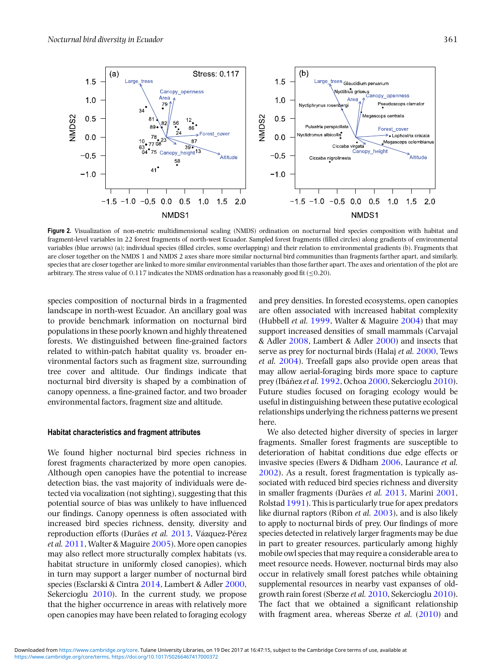<span id="page-4-0"></span>

**Figure 2.** Visualization of non-metric multidimensional scaling (NMDS) ordination on nocturnal bird species composition with habitat and fragment-level variables in 22 forest fragments of north-west Ecuador. Sampled forest fragments (filled circles) along gradients of environmental variables (blue arrows) (a); individual species (filled circles, some overlapping) and their relation to environmental gradients (b). Fragments that are closer together on the NMDS 1 and NMDS 2 axes share more similar nocturnal bird communities than fragments farther apart, and similarly, species that are closer together are linked to more similar environmental variables than those farther apart. The axes and orientation of the plot are arbitrary. The stress value of  $0.117$  indicates the NDMS ordination has a reasonably good fit (< $0.20$ ).

species composition of nocturnal birds in a fragmented landscape in north-west Ecuador. An ancillary goal was to provide benchmark information on nocturnal bird populations in these poorly known and highly threatened forests. We distinguished between fine-grained factors related to within-patch habitat quality vs. broader environmental factors such as fragment size, surrounding tree cover and altitude. Our findings indicate that nocturnal bird diversity is shaped by a combination of canopy openness, a fine-grained factor, and two broader environmental factors, fragment size and altitude.

# **Habitat characteristics and fragment attributes**

We found higher nocturnal bird species richness in forest fragments characterized by more open canopies. Although open canopies have the potential to increase detection bias, the vast majority of individuals were detected via vocalization (not sighting), suggesting that this potential source of bias was unlikely to have influenced our findings. Canopy openness is often associated with increased bird species richness, density, diversity and reproduction efforts (Durães *et al.* [2013,](#page-6-0) Vázquez-Pérez *et al.* [2011,](#page-7-0) Walter & Maguire [2005\)](#page-7-0). More open canopies may also reflect more structurally complex habitats (vs. habitat structure in uniformly closed canopies), which in turn may support a larger number of nocturnal bird species (Esclarski & Cintra [2014,](#page-6-0) Lambert & Adler [2000,](#page-6-0) Sekercioglu [2010\)](#page-7-0). In the current study, we propose that the higher occurrence in areas with relatively more open canopies may have been related to foraging ecology

and prey densities. In forested ecosystems, open canopies are often associated with increased habitat complexity (Hubbell *et al.* [1999,](#page-6-0) Walter & Maguire [2004\)](#page-7-0) that may support increased densities of small mammals (Carvajal & Adler [2008,](#page-6-0) Lambert & Adler [2000\)](#page-6-0) and insects that serve as prey for nocturnal birds (Halaj *et al.* [2000,](#page-6-0) Tews *et al.* [2004\)](#page-7-0). Treefall gaps also provide open areas that may allow aerial-foraging birds more space to capture prey (Ibáñez*et al.* [1992,](#page-6-0) Ochoa [2000,](#page-7-0) Sekercioglu [2010\)](#page-7-0). Future studies focused on foraging ecology would be useful in distinguishing between these putative ecological relationships underlying the richness patterns we present here.

We also detected higher diversity of species in larger fragments. Smaller forest fragments are susceptible to deterioration of habitat conditions due edge effects or invasive species (Ewers & Didham [2006,](#page-6-0) Laurance *et al.* [2002\)](#page-6-0). As a result, forest fragmentation is typically associated with reduced bird species richness and diversity in smaller fragments (Durães *et al.* [2013,](#page-6-0) Marini [2001,](#page-7-0) Rolstad [1991\)](#page-7-0). This is particularly true for apex predators like diurnal raptors (Ribon *et al.* [2003\)](#page-7-0), and is also likely to apply to nocturnal birds of prey. Our findings of more species detected in relatively larger fragments may be due in part to greater resources, particularly among highly mobile owl species that may require a considerable area to meet resource needs. However, nocturnal birds may also occur in relatively small forest patches while obtaining supplemental resources in nearby vast expanses of oldgrowth rain forest (Sberze *et al.* [2010,](#page-7-0) Sekercioglu [2010\)](#page-7-0). The fact that we obtained a significant relationship with fragment area, whereas Sberze et al. [\(2010\)](#page-7-0) and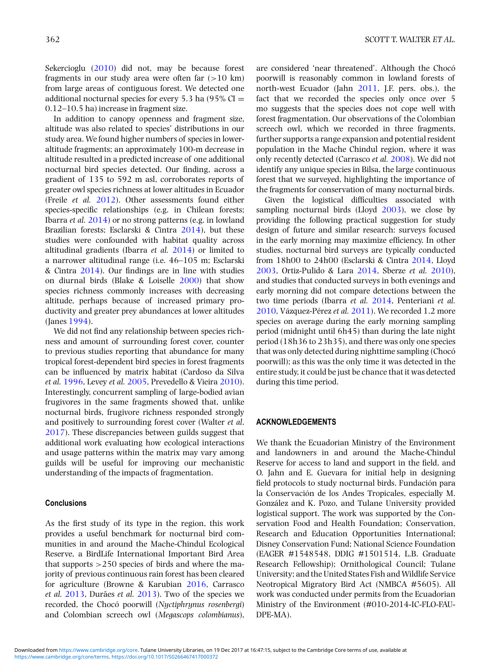Sekercioglu [\(2010\)](#page-7-0) did not, may be because forest fragments in our study area were often far  $(>10 \text{ km})$ from large areas of contiguous forest. We detected one additional nocturnal species for every 5.3 ha  $(95\% \text{ CI} =$ 0.12–10.5 ha) increase in fragment size.

In addition to canopy openness and fragment size, altitude was also related to species' distributions in our study area. We found higher numbers of species in loweraltitude fragments; an approximately 100-m decrease in altitude resulted in a predicted increase of one additional nocturnal bird species detected. Our finding, across a gradient of 135 to 592 m asl, corroborates reports of greater owl species richness at lower altitudes in Ecuador (Freile *et al.* [2012\)](#page-6-0). Other assessments found either species-specific relationships (e.g. in Chilean forests; Ibarra *et al.* [2014\)](#page-6-0) or no strong patterns (e.g. in lowland Brazilian forests; Esclarski & Cintra [2014\)](#page-6-0), but these studies were confounded with habitat quality across altitudinal gradients (Ibarra *et al.* [2014\)](#page-6-0) or limited to a narrower altitudinal range (i.e. 46–105 m; Esclarski & Cintra [2014\)](#page-6-0). Our findings are in line with studies on diurnal birds (Blake & Loiselle [2000\)](#page-6-0) that show species richness commonly increases with decreasing altitude, perhaps because of increased primary productivity and greater prey abundances at lower altitudes (Janes [1994\)](#page-6-0).

We did not find any relationship between species richness and amount of surrounding forest cover, counter to previous studies reporting that abundance for many tropical forest-dependent bird species in forest fragments can be influenced by matrix habitat (Cardoso da Silva *et al.* [1996,](#page-6-0) Levey *et al.* [2005,](#page-6-0) Prevedello & Vieira [2010\)](#page-7-0). Interestingly, concurrent sampling of large-bodied avian frugivores in the same fragments showed that, unlike nocturnal birds, frugivore richness responded strongly and positively to surrounding forest cover (Walter *et al*. [2017\)](#page-7-0). These discrepancies between guilds suggest that additional work evaluating how ecological interactions and usage patterns within the matrix may vary among guilds will be useful for improving our mechanistic understanding of the impacts of fragmentation.

## **Conclusions**

As the first study of its type in the region, this work provides a useful benchmark for nocturnal bird communities in and around the Mache-Chindul Ecological Reserve, a BirdLife International Important Bird Area that supports  $>250$  species of birds and where the majority of previous continuous rain forest has been cleared for agriculture (Browne & Karubian [2016,](#page-6-0) Carrasco *et al.* [2013,](#page-6-0) Durães *et al.* [2013\)](#page-6-0). Two of the species we recorded, the Chocó poorwill (*Nyctiphrynus rosenbergi*) and Colombian screech owl (*Megascops colombianus*), poorwill is reasonably common in lowland forests of north-west Ecuador (Jahn [2011,](#page-6-0) J.F. pers. obs.), the fact that we recorded the species only once over 5 mo suggests that the species does not cope well with forest fragmentation. Our observations of the Colombian screech owl, which we recorded in three fragments, further supports a range expansion and potential resident population in the Mache Chindul region, where it was only recently detected (Carrasco *et al.* [2008\)](#page-6-0). We did not identify any unique species in Bilsa, the large continuous forest that we surveyed, highlighting the importance of the fragments for conservation of many nocturnal birds.

Given the logistical difficulties associated with sampling nocturnal birds (Lloyd [2003\)](#page-6-0), we close by providing the following practical suggestion for study design of future and similar research: surveys focused in the early morning may maximize efficiency. In other studies, nocturnal bird surveys are typically conducted from 18h00 to 24h00 (Esclarski & Cintra [2014,](#page-6-0) Lloyd [2003,](#page-6-0) Ortiz-Pulido & Lara [2014,](#page-7-0) Sberze *et al.* [2010\)](#page-7-0), and studies that conducted surveys in both evenings and early morning did not compare detections between the two time periods (Ibarra *et al.* [2014,](#page-6-0) Penteriani *et al.* [2010,](#page-7-0) Vázquez-Pérez *et al.* [2011\)](#page-7-0). We recorded 1.2 more species on average during the early morning sampling period (midnight until 6h45) than during the late night period (18h36 to 23h35), and there was only one species that was only detected during nighttime sampling (Chocó poorwill); as this was the only time it was detected in the entire study, it could be just be chance that it was detected during this time period.

#### **ACKNOWLEDGEMENTS**

We thank the Ecuadorian Ministry of the Environment and landowners in and around the Mache-Chindul Reserve for access to land and support in the field, and O. Jahn and E. Guevara for initial help in designing field protocols to study nocturnal birds. Fundación para la Conservación de los Andes Tropicales, especially M. González and K. Pozo, and Tulane University provided logistical support. The work was supported by the Conservation Food and Health Foundation; Conservation, Research and Education Opportunities International; Disney Conservation Fund; National Science Foundation (EAGER #1548548, DDIG #1501514, L.B. Graduate Research Fellowship); Ornithological Council; Tulane University; and the United States Fish and Wildlife Service Neotropical Migratory Bird Act (NMBCA #5605). All work was conducted under permits from the Ecuadorian Ministry of the Environment (#010-2014-IC-FLO-FAU-DPE-MA).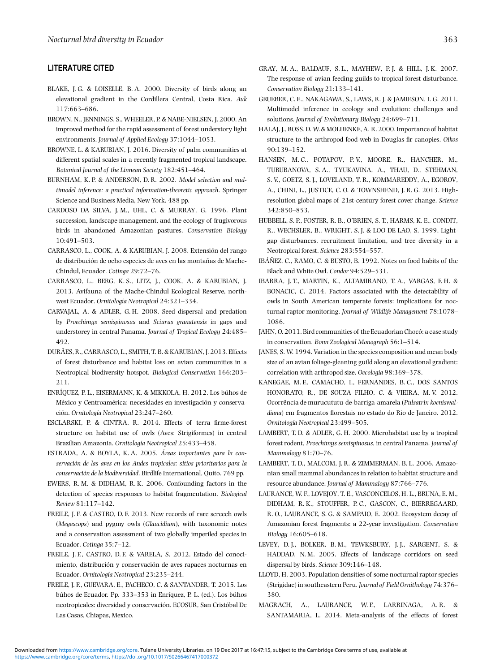# <span id="page-6-0"></span>**LITERATURE CITED**

- BLAKE, J. G. & LOISELLE, B. A. 2000. Diversity of birds along an elevational gradient in the Cordillera Central, Costa Rica. *Auk* 117:663–686.
- BROWN, N., JENNINGS, S., WHEELER, P. & NABE-NIELSEN, J. 2000. An improved method for the rapid assessment of forest understory light environments. *Journal of Applied Ecology* 37:1044–1053.
- BROWNE, L. & KARUBIAN, J. 2016. Diversity of palm communities at different spatial scales in a recently fragmented tropical landscape. *Botanical Journal of the Linnean Society* 182:451–464.
- BURNHAM, K. P. & ANDERSON, D. R. 2002. *Model selection and multimodel inference: a practical information-theoretic approach*. Springer Science and Business Media, New York. 488 pp.
- CARDOSO DA SILVA, J. M., UHL, C. & MURRAY, G. 1996. Plant succession, landscape management, and the ecology of frugivorous birds in abandoned Amazonian pastures. *Conservation Biology* 10:491–503.
- CARRASCO, L., COOK, A. & KARUBIAN, J. 2008. Extensión del rango de distribución de ocho especies de aves en las montañas de Mache-Chindul, Ecuador. *Cotinga* 29:72–76.
- CARRASCO, L., BERG, K. S., LITZ, J., COOK, A. & KARUBIAN, J. 2013. Avifauna of the Mache-Chindul Ecological Reserve, northwest Ecuador. *Ornitología Neotropical* 24:321–334.
- CARVAJAL, A. & ADLER, G. H. 2008. Seed dispersal and predation by *Proechimys semispinosus* and *Sciurus granatensis* in gaps and understorey in central Panama. *Journal of Tropical Ecology* 24:485– 492.
- DURÃES, R., CARRASCO, L., SMITH, T. B. & KARUBIAN, J. 2013. Effects of forest disturbance and habitat loss on avian communities in a Neotropical biodiversity hotspot. *Biological Conservation* 166:203– 211.
- ENRÍQUEZ, P. L., EISERMANN, K. & MIKKOLA, H. 2012. Los búhos de México y Centroamérica: necesidades en investigación y conservación. *Ornitología Neotropical* 23:247–260.
- ESCLARSKI, P. & CINTRA, R. 2014. Effects of terra firme-forest structure on habitat use of owls (Aves: Strigiformes) in central Brazilian Amazonia. *Ornitología Neotropical* 25:433–458.
- ESTRADA, A. & BOYLA, K. A. 2005. *Áreas importantes para la conservación de las aves en los Andes tropicales: sitios prioritarios para la conservación de la biodiversidad*. Birdlife International, Quito. 769 pp.
- EWERS, R. M. & DIDHAM, R. K. 2006. Confounding factors in the detection of species responses to habitat fragmentation. *Biological Review* 81:117–142.
- FREILE, J. F. & CASTRO, D. F. 2013. New records of rare screech owls (*Megascops*) and pygmy owls (*Glaucidium*), with taxonomic notes and a conservation assessment of two globally imperiled species in Ecuador. *Cotinga* 35:7–12.
- FREILE, J. F., CASTRO, D. F. & VARELA, S. 2012. Estado del conocimiento, distribución y conservación de aves rapaces nocturnas en Ecuador. *Ornitología Neotropical* 23:235–244.
- FREILE, J. F., GUEVARA, E., PACHECO, C. & SANTANDER, T. 2015. Los búhos de Ecuador. Pp. 333–353 in Enríquez, P. L. (ed.). Los búhos neotropicales: diversidad y conservación. ECOSUR, San Cristóbal De Las Casas, Chiapas, Mexico.
- GRAY, M. A., BALDAUF, S. L., MAYHEW, P. J. & HILL, J. K. 2007. The response of avian feeding guilds to tropical forest disturbance. *Conservation Biology* 21:133–141.
- GRUEBER, C. E., NAKAGAWA, S., LAWS, R. J. & JAMIESON, I. G. 2011. Multimodel inference in ecology and evolution: challenges and solutions. *Journal of Evolutionary Biology* 24:699–711.
- HALAJ, J., ROSS, D. W. & MOLDENKE, A. R. 2000. Importance of habitat structure to the arthropod food-web in Douglas-fir canopies. *Oikos* 90:139–152.
- HANSEN, M. C., POTAPOV, P. V., MOORE, R., HANCHER, M., TURUBANOVA, S. A., TYUKAVINA, A., THAU, D., STEHMAN, S. V., GOETZ, S. J., LOVELAND, T. R., KOMMAREDDY, A., EGOROV, A., CHINI, L., JUSTICE, C. O. & TOWNSHEND, J. R. G. 2013. Highresolution global maps of 21st-century forest cover change. *Science* 342:850–853.
- HUBBELL, S. P., FOSTER, R. B., O'BRIEN, S. T., HARMS, K. E., CONDIT, R., WECHSLER, B., WRIGHT, S. J. & LOO DE LAO, S. 1999. Lightgap disturbances, recruitment limitation, and tree diversity in a Neotropical forest. *Science* 283:554–557.
- IBÁÑEZ, C., RAMO, C. & BUSTO, B. 1992. Notes on food habits of the Black and White Owl. *Condor* 94:529–531.
- IBARRA, J. T., MARTIN, K., ALTAMIRANO, T. A., VARGAS, F. H. & BONACIC, C. 2014. Factors associated with the detectability of owls in South American temperate forests: implications for nocturnal raptor monitoring. *Journal of Wildlife Management* 78:1078– 1086.
- JAHN, O. 2011. Bird communities of the Ecuadorian Chocó: a case study in conservation. *Bonn Zoological Monograph* 56:1–514.
- JANES, S. W. 1994. Variation in the species composition and mean body size of an avian foliage-gleaning guild along an elevational gradient: correlation with arthropod size. *Oecologia* 98:369–378.
- KANEGAE, M. F., CAMACHO, I., FERNANDES, B. C., DOS SANTOS HONORATO, R., DE SOUZA FILHO, C. & VIEIRA, M. V. 2012. Ocorrência de murucututu-de-barriga-amarela (*Pulsatrix koeniswaldiana*) em fragmentos florestais no estado do Rio de Janeiro. 2012. *Ornitología Neotropical* 23:499–505.
- LAMBERT, T. D. & ADLER, G. H. 2000. Microhabitat use by a tropical forest rodent, *Proechimys semispinosus*, in central Panama. *Journal of Mammalogy* 81:70–76.
- LAMBERT, T. D., MALCOM, J. R. & ZIMMERMAN, B. L. 2006. Amazonian small mammal abundances in relation to habitat structure and resource abundance. *Journal of Mammalogy* 87:766–776.
- LAURANCE, W. F., LOVEJOY, T. E., VASCONCELOS, H. L., BRUNA, E. M., DIDHAM, R. K., STOUFFER, P. C., GASCON, C., BIERREGAARD, R. O., LAURANCE, S. G. & SAMPAIO, E. 2002. Ecosystem decay of Amazonian forest fragments: a 22-year investigation. *Conservation Biology* 16:605–618.
- LEVEY, D. J., BOLKER, B. M., TEWKSBURY, J. J., SARGENT, S. & HADDAD, N. M. 2005. Effects of landscape corridors on seed dispersal by birds. *Science* 309:146–148.
- LLOYD, H. 2003. Population densities of some nocturnal raptor species (Strigidae) in southeastern Peru. *Journal of Field Ornithology* 74:376– 380.
- MAGRACH, A., LAURANCE, W. F., LARRINAGA, A. R. & SANTAMARIA, L. 2014. Meta-analysis of the effects of forest